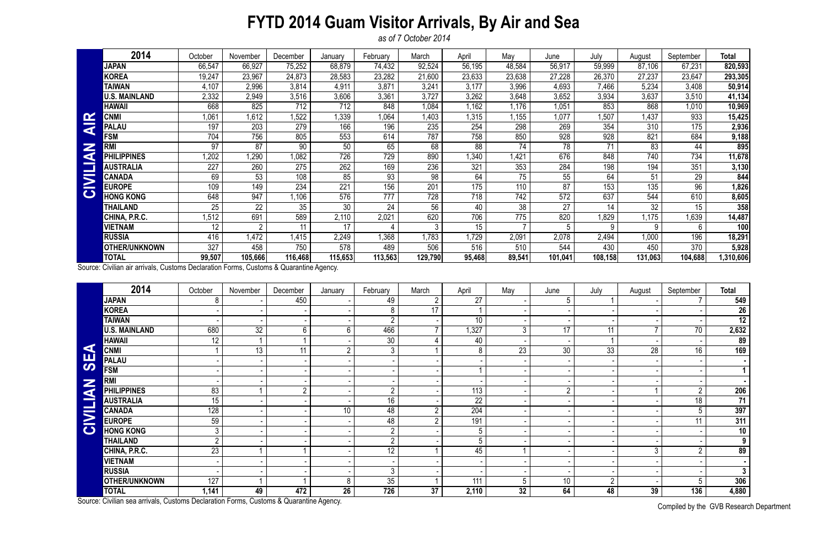## **FYTD 2014 Guam Visitor Arrivals, By Air and Sea**

*as of 7 October 2014*

Compiled by the GVB Research Department

|                     | 2014                 | October | November       | December | January | February | March   | April  | May    | June    | July    | August  | September | <b>Total</b> |
|---------------------|----------------------|---------|----------------|----------|---------|----------|---------|--------|--------|---------|---------|---------|-----------|--------------|
|                     | JAPAN                | 66,547  | 66,927         | 75,252   | 68,879  | 74,432   | 92,524  | 56,195 | 48,584 | 56,917  | 59,999  | 87,106  | 67,231    | 820,593      |
|                     | <b>KOREA</b>         | 19,247  | 23,967         | 24,873   | 28,583  | 23,282   | 21,600  | 23,633 | 23,638 | 27,228  | 26,370  | 27,237  | 23,647    | 293,305      |
|                     | <b>TAIWAN</b>        | 4,107   | 2,996          | 3,814    | 4,911   | 3,871    | 3,241   | 3,177  | 3,996  | 4,693   | 7,466   | 5,234   | 3,408     | 50,914       |
|                     | <b>U.S. MAINLAND</b> | 2,332   | 2,949          | 3,516    | 3,606   | 3,361    | 3,727   | 3,262  | 3,648  | 3,652   | 3,934   | 3,637   | 3,510     | 41,134       |
|                     | <b>HAWAII</b>        | 668     | 825            | 712      | 712     | 848      | 1,084   | 1,162  | .176   | 1,051   | 853     | 868     | 1,010     | 10,969       |
|                     | <b>CNMI</b>          | 1,061   | 1,612          | 1,522    | 1,339   | 1,064    | ,403    | 1,315  | ,155   | 1,077   | 1,507   | 1,437   | 933       | 15,425       |
| <b>AIR</b>          | <b>PALAU</b>         | 197     | 203            | 279      | 166     | 196      | 235     | 254    | 298    | 269     | 354     | 310     | 175       | 2,936        |
|                     | <b>FSM</b>           | 704     | 756            | 805      | 553     | 614      | 787     | 758    | 850    | 928     | 928     | 821     | 684       | 9,188        |
| z                   | <b>RMI</b>           | 97      | 87             | 90       | 50      | 65       | 68      | 88     | 74     | 78      | 71      | 83      | 44        | 895          |
| d                   | <b>PHILIPPINES</b>   | ,202    | 1,290          | 1,082    | 726     | 729      | 890     | 340    | ,421   | 676     | 848     | 740     | 734       | 11,678       |
|                     | <b>AUSTRALIA</b>     | 227     | 260            | 275      | 262     | 169      | 236     | 321    | 353    | 284     | 198     | 194     | 351       | 3,130        |
| $\overline{\Sigma}$ | <b>CANADA</b>        | 69      | 53             | 108      | 85      | 93       | 98      | 64     | 75     | 55      | 64      | 51      | 29        | 844          |
|                     | <b>EUROPE</b>        | 109     | 149            | 234      | 221     | 156      | 201     | 175    | 110    | 87      | 153     | 135     | 96        | 1,826        |
| $\bullet$           | <b>HONG KONG</b>     | 648     | 947            | 1,106    | 576     | 777      | 728     | 718    | 742    | 572     | 637     | 544     | 610       | 8,605        |
|                     | THAILAND             | 25      | 22             | 35       | 30      | 24       | 56      | 40     | 38     | 27      | 14      | 32      | 15        | 358          |
|                     | CHINA, P.R.C.        | 1,512   | 691            | 589      | 2,110   | 2,021    | 620     | 706    | 775    | 820     | .829    | 1,175   | 1,639     | 14,487       |
|                     | <b>VIETNAM</b>       | 12      | $\overline{2}$ |          | 17      |          | 3       | 15     |        | 5       | 9       | 9       | 6         | 100          |
|                     | <b>RUSSIA</b>        | 416     | ,472           | 1,415    | 2,249   | .368     | ,783    | ,729   | 2,091  | 2,078   | 2,494   | 1,000   | 196       | 18,291       |
|                     | <b>OTHER/UNKNOWN</b> | 327     | 458            | 750      | 578     | 489      | 506     | 516    | 510    | 544     | 430     | 450     | 370       | 5,928        |
|                     | <b>TOTAL</b>         | 99,507  | 105,666        | 116,468  | 115,653 | 113,563  | 129,790 | 95,468 | 89,541 | 101,041 | 108,158 | 131,063 | 104,688   | 310,606,     |

|                       | <b>CNMI</b>                                                                            | 1,061            | 1,612           | 1,522          | 1,339           | 1,064           | 1,403           | 1,315            | 1,155            | 1,077           | 1,507          | 1,437           | 933             | 15,425                 |
|-----------------------|----------------------------------------------------------------------------------------|------------------|-----------------|----------------|-----------------|-----------------|-----------------|------------------|------------------|-----------------|----------------|-----------------|-----------------|------------------------|
| <b>AIR</b>            | <b>PALAU</b>                                                                           | 197              | 203             | 279            | 166             | 196             | 235             | 254              | 298              | 269             | 354            | 310             | 175             | 2,936                  |
| Z<br>CIVILIA          | <b>FSM</b>                                                                             | 704              | 756             | 805            | 553             | 614             | 787             | 758              | 850              | 928             | 928            | 821             | 684             | 9,188                  |
|                       | <b>RMI</b>                                                                             | 97               | 87              | 90             | 50              | 65              | 68              | 88               | 74               | 78              | 71             | 83              | 44              | 895                    |
|                       | <b>PHILIPPINES</b>                                                                     | 1,202            | 1,290           | 1,082          | 726             | 729             | 890             | ,340             | ,421             | 676             | 848            | 740             | 734             | 11,678                 |
|                       | <b>AUSTRALIA</b>                                                                       | 227              | 260             | 275            | 262             | 169             | 236             | 321              | 353              | 284             | 198            | 194             | 351             | 3,130                  |
|                       | <b>CANADA</b>                                                                          | 69               | $\overline{53}$ | 108            | 85              | $\overline{93}$ | $\overline{98}$ | 64               | 75               | $\overline{55}$ | 64             | 51              | $\overline{29}$ | 844                    |
|                       | <b>EUROPE</b>                                                                          | 109              | 149             | 234            | 221             | 156             | 201             | 175              | 110              | $\overline{87}$ | 153            | 135             | 96              | 1,826                  |
|                       | <b>HONG KONG</b>                                                                       | 648              | 947             | 1,106          | 576             | 777             | 728             | 718              | 742              | 572             | 637            | 544             | 610             | 8,605                  |
|                       | <b>THAILAND</b>                                                                        | 25               | $\overline{22}$ | 35             | $\overline{30}$ | $\overline{24}$ | 56              | 40               | 38               | 27              | 14             | $\overline{32}$ | 15              | 358                    |
|                       | CHINA, P.R.C.                                                                          | 1,512            | 691             | 589            | 2,110           | 2,021           | 620             | 706              | $\overline{775}$ | 820             | 1,829          | 1,175           | 1,639           | 14,487                 |
|                       | <b>VIETNAM</b>                                                                         | 12               | $\overline{2}$  | 11             | 17              | 4               | 3               | 15               |                  | 5               | 9              | 9               | 6               | 100                    |
|                       | <b>RUSSIA</b>                                                                          | 416              | 1,472           | 1,415          | 2,249           | 1,368           | 1,783           | 1,729            | 2,091            | 2,078           | 2,494          | 1,000           | 196             | 18,291                 |
|                       | <b>OTHER/UNKNOWN</b>                                                                   | 327              | 458             | 750            | 578             | 489             | 506             | 516              | 510              | 544             | 430            | 450             | 370             | 5,928                  |
|                       | <b>TOTAL</b>                                                                           | 99,507           | 105,666         | 116,468        | 115,653         | 113,563         | 129,790         | 95,468           | 89,541           | 101,041         | 108,158        | 131,063         | 104,688         | 1,310,606              |
|                       | Source: Civilian air arrivals, Customs Declaration Forms, Customs & Quarantine Agency. |                  |                 |                |                 |                 |                 |                  |                  |                 |                |                 |                 |                        |
|                       | 2014                                                                                   | October          | November        | December       | January         | February        | March           | April            | May              | June            | July           | August          | September       | <b>Total</b>           |
|                       | <b>JAPAN</b>                                                                           | 8                |                 | 450            |                 | 49              | $\overline{2}$  | 27               |                  | 5               |                |                 |                 | 549                    |
|                       | <b>KOREA</b>                                                                           |                  |                 |                |                 | 8               | 17              |                  |                  |                 |                |                 |                 | 26                     |
|                       | <b>TAIWAN</b>                                                                          |                  |                 |                |                 | $\overline{2}$  |                 | 10               |                  |                 |                |                 |                 | 12                     |
|                       | <b>U.S. MAINLAND</b>                                                                   | 680              | $\overline{32}$ | 6              | $6\phantom{.}$  | 466             |                 | 1,327            | $\mathbf{3}$     | 17              | 11             | $\overline{7}$  | 70              | 2,632                  |
|                       | <b>HAWAII</b>                                                                          | $\overline{12}$  |                 |                |                 | 30 <sup>°</sup> |                 | 40               |                  |                 |                |                 |                 | 89                     |
| $\blacktriangleleft$  | <b>CNMI</b>                                                                            | 1                | 13 <sup>°</sup> | 11             | $\overline{2}$  | $\overline{3}$  |                 | 8                | 23               | 30 <sup>°</sup> | 33             | 28              | 16              | 169                    |
| <b>SE</b>             | <b>PALAU</b>                                                                           |                  |                 |                |                 |                 |                 |                  |                  |                 |                |                 |                 |                        |
|                       | <b>FSM</b>                                                                             |                  |                 |                |                 |                 |                 |                  |                  |                 |                |                 |                 | 1                      |
|                       | <b>RMI</b>                                                                             |                  |                 |                |                 |                 |                 |                  |                  |                 |                |                 |                 |                        |
| <b>NAI.</b>           | <b>PHILIPPINES</b>                                                                     | $\overline{83}$  |                 | $\overline{2}$ |                 | $\overline{2}$  |                 | 113              |                  | $\overline{2}$  |                |                 | $\overline{2}$  | 206                    |
|                       | <b>AUSTRALIA</b>                                                                       | $\overline{15}$  |                 |                |                 | $\overline{16}$ |                 | $\overline{22}$  |                  |                 |                |                 | 18              | 71                     |
| E.                    | <b>CANADA</b>                                                                          | $\overline{128}$ |                 |                | 10 <sup>°</sup> | 48              | $\overline{2}$  | $\overline{204}$ |                  |                 |                |                 | 5 <sup>5</sup>  | 397                    |
| $\blacktriangleright$ | <b>EUROPE</b>                                                                          | 59               |                 |                |                 | 48              | $2^{\circ}$     | 191              |                  |                 |                |                 | 11              | 311                    |
| $\bullet$             | <b>HONG KONG</b>                                                                       | $\mathbf{3}$     |                 |                |                 | $\overline{2}$  |                 | 5                |                  |                 |                |                 |                 | 10                     |
|                       | <b>THAILAND</b>                                                                        | $\overline{2}$   |                 |                |                 | $\overline{2}$  |                 | 5                |                  |                 |                |                 |                 | 9                      |
|                       | CHINA, P.R.C.                                                                          | $\overline{23}$  |                 |                |                 | $\overline{12}$ |                 | 45               |                  |                 |                | 3 <sup>1</sup>  |                 | 89                     |
|                       | <b>VIETNAM</b>                                                                         |                  |                 |                |                 |                 |                 |                  |                  |                 |                |                 |                 |                        |
|                       | <b>RUSSIA</b>                                                                          |                  |                 |                |                 | 3               |                 |                  |                  |                 |                |                 |                 | 3 <sup>1</sup>         |
|                       | <b>OTHER/UNKNOWN</b>                                                                   | 127              |                 |                | 8               | 35              |                 | 111              | 5                | 10 <sup>°</sup> | $\overline{2}$ |                 | 5               | 306                    |
|                       | <b>TOTAL</b>                                                                           | 1,141            | 49              | 472            | 26              | 726             | 37              | 2,110            | 32               | 64              | 48             | 39              | 136             | 4,880                  |
|                       | Source: Civilian sea arrivals, Customs Declaration Forms, Customs & Quarantine Agency. |                  |                 |                |                 |                 |                 |                  |                  |                 |                |                 |                 | $\bigcap$ in $\bigcap$ |